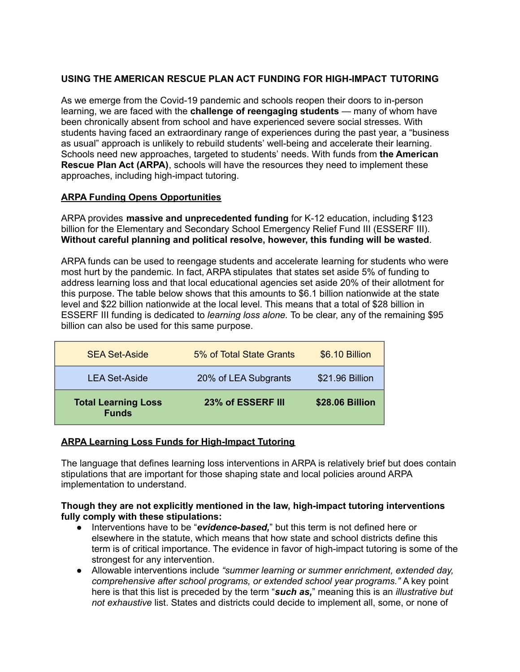# **USING THE AMERICAN RESCUE PLAN ACT FUNDING FOR HIGH-IMPACT TUTORING**

As we emerge from the Covid-19 pandemic and schools reopen their doors to in-person learning, we are faced with the **challenge of reengaging students** — many of whom have been chronically absent from school and have experienced severe social stresses. With students having faced an extraordinary range of experiences during the past year, a "business as usual" approach is unlikely to rebuild students' well-being and accelerate their learning. Schools need new approaches, targeted to students' needs. With funds from **the American Rescue Plan Act (ARPA)**, schools will have the resources they need to implement these approaches, including high-impact tutoring.

## **ARPA Funding Opens Opportunities**

ARPA provides **massive and unprecedented funding** for K-12 education, including \$123 billion for the Elementary and Secondary School Emergency Relief Fund III (ESSERF III). **Without careful planning and political resolve, however, this funding will be wasted**.

ARPA funds can be used to reengage students and accelerate learning for students who were most hurt by the pandemic. In fact, ARPA stipulates that states set aside 5% of funding to address learning loss and that local educational agencies set aside 20% of their allotment for this purpose. The table below shows that this amounts to \$6.1 billion nationwide at the state level and \$22 billion nationwide at the local level. This means that a total of \$28 billion in ESSERF III funding is dedicated to *learning loss alone.* To be clear, any of the remaining \$95 billion can also be used for this same purpose.

| <b>SEA Set-Aside</b>                       | 5% of Total State Grants | \$6.10 Billion  |
|--------------------------------------------|--------------------------|-----------------|
| <b>LEA Set-Aside</b>                       | 20% of LEA Subgrants     | \$21.96 Billion |
| <b>Total Learning Loss</b><br><b>Funds</b> | 23% of ESSERF III        | \$28.06 Billion |

## **ARPA Learning Loss Funds for High-Impact Tutoring**

The language that defines learning loss interventions in ARPA is relatively brief but does contain stipulations that are important for those shaping state and local policies around ARPA implementation to understand.

#### **Though they are not explicitly mentioned in the law, high-impact tutoring interventions fully comply with these stipulations:**

- Interventions have to be "*evidence-based,*" but this term is not defined here or elsewhere in the statute, which means that how state and school districts define this term is of critical importance. The evidence in favor of high-impact tutoring is some of the strongest for any intervention.
- Allowable interventions include *"summer learning or summer enrichment, extended day, comprehensive after school programs, or extended school year programs."* A key point here is that this list is preceded by the term "*such as,*" meaning this is an *illustrative but not exhaustive* list. States and districts could decide to implement all, some, or none of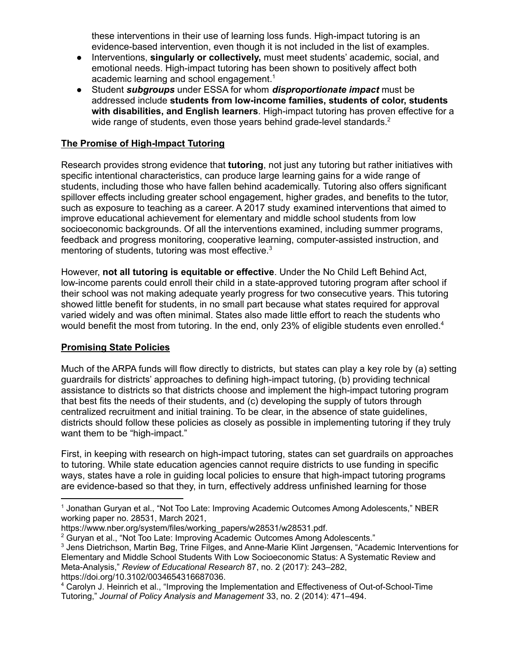these interventions in their use of learning loss funds. High-impact tutoring is an evidence-based intervention, even though it is not included in the list of examples.

- Interventions, **singularly or collectively,** must meet students' academic, social, and emotional needs. High-impact tutoring has been shown to positively affect both academic learning and school engagement. 1
- Student *subgroups* under ESSA for whom *disproportionate impact* must be addressed include **students from low-income families, students of color, students with disabilities, and English learners**. High-impact tutoring has proven effective for a wide range of students, even those years behind grade-level standards.<sup>2</sup>

## **The Promise of High-Impact Tutoring**

Research provides strong evidence that **tutoring**, not just any tutoring but rather initiatives with specific intentional characteristics, can produce large learning gains for a wide range of students, including those who have fallen behind academically. Tutoring also offers significant spillover effects including greater school engagement, higher grades, and benefits to the tutor, such as exposure to teaching as a career. A 2017 study examined interventions that aimed to improve educational achievement for elementary and middle school students from low socioeconomic backgrounds. Of all the interventions examined, including summer programs, feedback and progress monitoring, cooperative learning, computer-assisted instruction, and mentoring of students, tutoring was most effective. 3

However, **not all tutoring is equitable or effective**. Under the No Child Left Behind Act, low-income parents could enroll their child in a state-approved tutoring program after school if their school was not making adequate yearly progress for two consecutive years. This tutoring showed little benefit for students, in no small part because what states required for approval varied widely and was often minimal. States also made little effort to reach the students who would benefit the most from tutoring. In the end, only 23% of eligible students even enrolled.<sup>4</sup>

## **Promising State Policies**

Much of the ARPA funds will flow directly to districts, but states can play a key role by (a) setting guardrails for districts' approaches to defining high-impact tutoring, (b) providing technical assistance to districts so that districts choose and implement the high-impact tutoring program that best fits the needs of their students, and (c) developing the supply of tutors through centralized recruitment and initial training. To be clear, in the absence of state guidelines, districts should follow these policies as closely as possible in implementing tutoring if they truly want them to be "high-impact."

First, in keeping with research on high-impact tutoring, states can set guardrails on approaches to tutoring. While state education agencies cannot require districts to use funding in specific ways, states have a role in guiding local policies to ensure that high-impact tutoring programs are evidence-based so that they, in turn, effectively address unfinished learning for those

<sup>1</sup> Jonathan Guryan et al., "Not Too Late: Improving Academic Outcomes Among Adolescents," NBER working paper no. 28531, March 2021,

https://www.nber.org/system/files/working\_papers/w28531/w28531.pdf.

<sup>&</sup>lt;sup>2</sup> Guryan et al., "Not Too Late: Improving Academic Outcomes Among Adolescents."

<sup>3</sup> Jens Dietrichson, Martin Bøg, Trine Filges, and Anne-Marie Klint Jørgensen, "Academic Interventions for Elementary and Middle School Students With Low Socioeconomic Status: A Systematic Review and Meta-Analysis," *Review of Educational Research* 87, no. 2 (2017): 243–282, https://doi.org/10.3102/0034654316687036.

<sup>4</sup> Carolyn J. Heinrich et al., "Improving the Implementation and Effectiveness of Out-of-School-Time Tutoring," *Journal of Policy Analysis and Management* 33, no. 2 (2014): 471–494.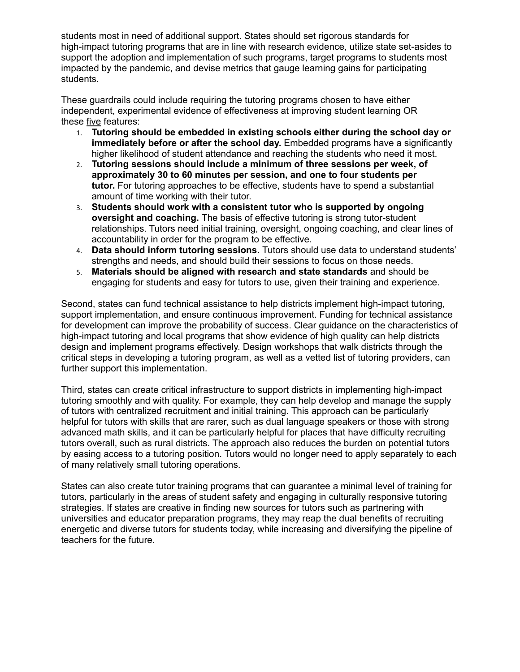students most in need of additional support. States should set rigorous standards for high-impact tutoring programs that are in line with research evidence, utilize state set-asides to support the adoption and implementation of such programs, target programs to students most impacted by the pandemic, and devise metrics that gauge learning gains for participating students.

These guardrails could include requiring the tutoring programs chosen to have either independent, experimental evidence of effectiveness at improving student learning OR these five features:

- 1. **Tutoring should be embedded in existing schools either during the school day or immediately before or after the school day.** Embedded programs have a significantly higher likelihood of student attendance and reaching the students who need it most.
- 2. **Tutoring sessions should include a minimum of three sessions per week, of approximately 30 to 60 minutes per session, and one to four students per tutor.** For tutoring approaches to be effective, students have to spend a substantial amount of time working with their tutor.
- 3. **Students should work with a consistent tutor who is supported by ongoing oversight and coaching.** The basis of effective tutoring is strong tutor-student relationships. Tutors need initial training, oversight, ongoing coaching, and clear lines of accountability in order for the program to be effective.
- 4. **Data should inform tutoring sessions.** Tutors should use data to understand students' strengths and needs, and should build their sessions to focus on those needs.
- 5. **Materials should be aligned with research and state standards** and should be engaging for students and easy for tutors to use, given their training and experience.

Second, states can fund technical assistance to help districts implement high-impact tutoring, support implementation, and ensure continuous improvement. Funding for technical assistance for development can improve the probability of success. Clear guidance on the characteristics of high-impact tutoring and local programs that show evidence of high quality can help districts design and implement programs effectively. Design workshops that walk districts through the critical steps in developing a tutoring program, as well as a vetted list of tutoring providers, can further support this implementation.

Third, states can create critical infrastructure to support districts in implementing high-impact tutoring smoothly and with quality. For example, they can help develop and manage the supply of tutors with centralized recruitment and initial training. This approach can be particularly helpful for tutors with skills that are rarer, such as dual language speakers or those with strong advanced math skills, and it can be particularly helpful for places that have difficulty recruiting tutors overall, such as rural districts. The approach also reduces the burden on potential tutors by easing access to a tutoring position. Tutors would no longer need to apply separately to each of many relatively small tutoring operations.

States can also create tutor training programs that can guarantee a minimal level of training for tutors, particularly in the areas of student safety and engaging in culturally responsive tutoring strategies. If states are creative in finding new sources for tutors such as partnering with universities and educator preparation programs, they may reap the dual benefits of recruiting energetic and diverse tutors for students today, while increasing and diversifying the pipeline of teachers for the future.